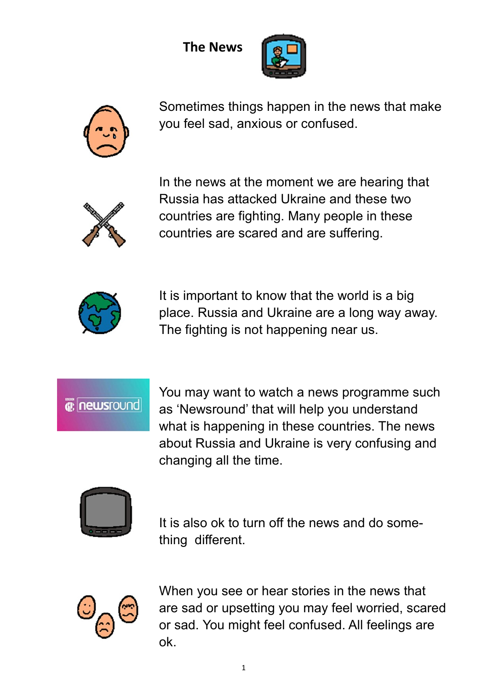The News





Sometimes things happen in the news that make you feel sad, anxious or confused.



In the news at the moment we are hearing that Russia has attacked Ukraine and these two countries are fighting. Many people in these countries are scared and are suffering.



It is important to know that the world is a big place. Russia and Ukraine are a long way away. The fighting is not happening near us.

*e* newsround

You may want to watch a news programme such as 'Newsround' that will help you understand what is happening in these countries. The news about Russia and Ukraine is very confusing and changing all the time.



It is also ok to turn off the news and do something different.



When you see or hear stories in the news that are sad or upsetting you may feel worried, scared or sad. You might feel confused. All feelings are ok.